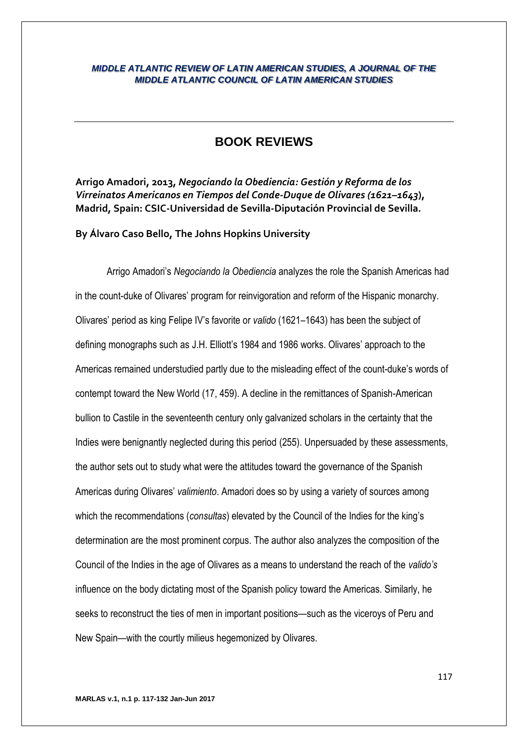## *MIDDLE ATLANTIC REVIEW OF LATIN AMERICAN STUDIES, A JOURNAL OF THE MIDDLE ATLANTIC COUNCIL OF LATIN AMERICAN STUDIES*

# **BOOK REVIEWS**

**Arrigo Amadori, 2013,** *Negociando la Obediencia: Gestión y Reforma de los Virreinatos Americanos en Tiempos del Conde-Duque de Olivares (1621–1643***), Madrid, Spain: CSIC-Universidad de Sevilla-Diputación Provincial de Sevilla.**

**By Álvaro Caso Bello, The Johns Hopkins University**

Arrigo Amadori's *Negociando la Obediencia* analyzes the role the Spanish Americas had in the count-duke of Olivares' program for reinvigoration and reform of the Hispanic monarchy. Olivares' period as king Felipe IV's favorite or *valido* (1621–1643) has been the subject of defining monographs such as J.H. Elliott's 1984 and 1986 works. Olivares' approach to the Americas remained understudied partly due to the misleading effect of the count-duke's words of contempt toward the New World (17, 459). A decline in the remittances of Spanish-American bullion to Castile in the seventeenth century only galvanized scholars in the certainty that the Indies were benignantly neglected during this period (255). Unpersuaded by these assessments, the author sets out to study what were the attitudes toward the governance of the Spanish Americas during Olivares' *valimiento*. Amadori does so by using a variety of sources among which the recommendations (*consultas*) elevated by the Council of the Indies for the king's determination are the most prominent corpus. The author also analyzes the composition of the Council of the Indies in the age of Olivares as a means to understand the reach of the *valido's* influence on the body dictating most of the Spanish policy toward the Americas. Similarly, he seeks to reconstruct the ties of men in important positions—such as the viceroys of Peru and New Spain—with the courtly milieus hegemonized by Olivares.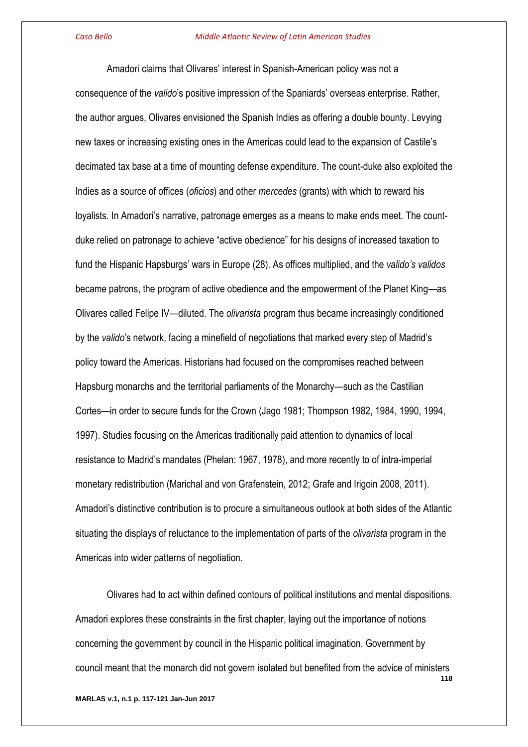Amadori claims that Olivares' interest in Spanish-American policy was not a consequence of the *valido*'s positive impression of the Spaniards' overseas enterprise. Rather, the author argues, Olivares envisioned the Spanish Indies as offering a double bounty. Levying new taxes or increasing existing ones in the Americas could lead to the expansion of Castile's decimated tax base at a time of mounting defense expenditure. The count-duke also exploited the Indies as a source of offices (*oficios*) and other *mercedes* (grants) with which to reward his loyalists. In Amadori's narrative, patronage emerges as a means to make ends meet. The countduke relied on patronage to achieve "active obedience" for his designs of increased taxation to fund the Hispanic Hapsburgs' wars in Europe (28). As offices multiplied, and the *valido's validos* became patrons, the program of active obedience and the empowerment of the Planet King—as Olivares called Felipe IV—diluted. The *olivarista* program thus became increasingly conditioned by the *valido*'s network, facing a minefield of negotiations that marked every step of Madrid's policy toward the Americas. Historians had focused on the compromises reached between Hapsburg monarchs and the territorial parliaments of the Monarchy—such as the Castilian Cortes—in order to secure funds for the Crown (Jago 1981; Thompson 1982, 1984, 1990, 1994, 1997). Studies focusing on the Americas traditionally paid attention to dynamics of local resistance to Madrid's mandates (Phelan: 1967, 1978), and more recently to of intra-imperial monetary redistribution (Marichal and von Grafenstein, 2012; Grafe and Irigoin 2008, 2011). Amadori's distinctive contribution is to procure a simultaneous outlook at both sides of the Atlantic situating the displays of reluctance to the implementation of parts of the *olivarista* program in the Americas into wider patterns of negotiation.

**118** Olivares had to act within defined contours of political institutions and mental dispositions. Amadori explores these constraints in the first chapter, laying out the importance of notions concerning the government by council in the Hispanic political imagination. Government by council meant that the monarch did not govern isolated but benefited from the advice of ministers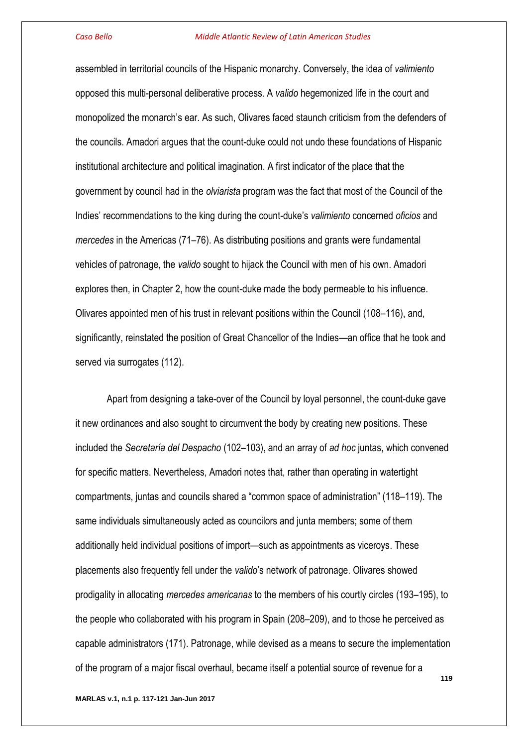assembled in territorial councils of the Hispanic monarchy. Conversely, the idea of *valimiento* opposed this multi-personal deliberative process. A *valido* hegemonized life in the court and monopolized the monarch's ear. As such, Olivares faced staunch criticism from the defenders of the councils. Amadori argues that the count-duke could not undo these foundations of Hispanic institutional architecture and political imagination. A first indicator of the place that the government by council had in the *olviarista* program was the fact that most of the Council of the Indies' recommendations to the king during the count-duke's *valimiento* concerned *oficios* and *mercedes* in the Americas (71–76). As distributing positions and grants were fundamental vehicles of patronage, the *valido* sought to hijack the Council with men of his own. Amadori explores then, in Chapter 2, how the count-duke made the body permeable to his influence. Olivares appointed men of his trust in relevant positions within the Council (108–116), and, significantly, reinstated the position of Great Chancellor of the Indies—an office that he took and served via surrogates (112).

Apart from designing a take-over of the Council by loyal personnel, the count-duke gave it new ordinances and also sought to circumvent the body by creating new positions. These included the *Secretaría del Despacho* (102–103), and an array of *ad hoc* juntas, which convened for specific matters. Nevertheless, Amadori notes that, rather than operating in watertight compartments, juntas and councils shared a "common space of administration" (118–119). The same individuals simultaneously acted as councilors and junta members; some of them additionally held individual positions of import—such as appointments as viceroys. These placements also frequently fell under the *valido*'s network of patronage. Olivares showed prodigality in allocating *mercedes americanas* to the members of his courtly circles (193–195), to the people who collaborated with his program in Spain (208–209), and to those he perceived as capable administrators (171). Patronage, while devised as a means to secure the implementation of the program of a major fiscal overhaul, became itself a potential source of revenue for a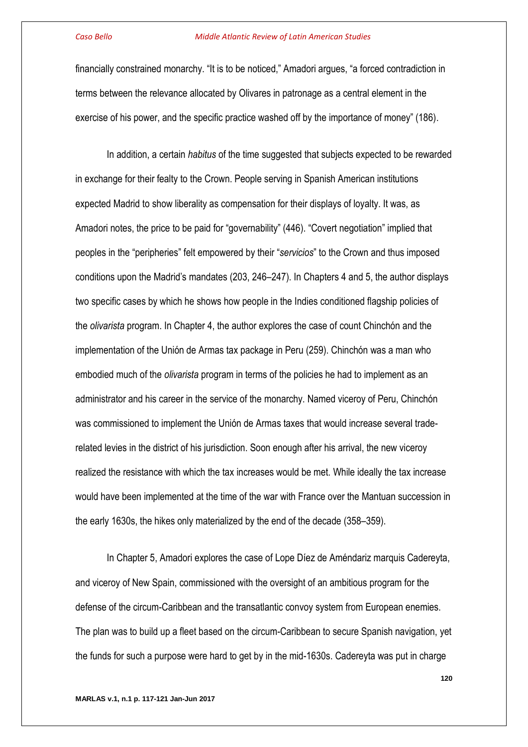financially constrained monarchy. "It is to be noticed," Amadori argues, "a forced contradiction in terms between the relevance allocated by Olivares in patronage as a central element in the exercise of his power, and the specific practice washed off by the importance of money" (186).

In addition, a certain *habitus* of the time suggested that subjects expected to be rewarded in exchange for their fealty to the Crown. People serving in Spanish American institutions expected Madrid to show liberality as compensation for their displays of loyalty. It was, as Amadori notes, the price to be paid for "governability" (446). "Covert negotiation" implied that peoples in the "peripheries" felt empowered by their "*servicios*" to the Crown and thus imposed conditions upon the Madrid's mandates (203, 246–247). In Chapters 4 and 5, the author displays two specific cases by which he shows how people in the Indies conditioned flagship policies of the *olivarista* program. In Chapter 4, the author explores the case of count Chinchón and the implementation of the Unión de Armas tax package in Peru (259). Chinchón was a man who embodied much of the *olivarista* program in terms of the policies he had to implement as an administrator and his career in the service of the monarchy. Named viceroy of Peru, Chinchón was commissioned to implement the Unión de Armas taxes that would increase several traderelated levies in the district of his jurisdiction. Soon enough after his arrival, the new viceroy realized the resistance with which the tax increases would be met. While ideally the tax increase would have been implemented at the time of the war with France over the Mantuan succession in the early 1630s, the hikes only materialized by the end of the decade (358–359).

In Chapter 5, Amadori explores the case of Lope Díez de Améndariz marquis Cadereyta, and viceroy of New Spain, commissioned with the oversight of an ambitious program for the defense of the circum-Caribbean and the transatlantic convoy system from European enemies. The plan was to build up a fleet based on the circum-Caribbean to secure Spanish navigation, yet the funds for such a purpose were hard to get by in the mid-1630s. Cadereyta was put in charge